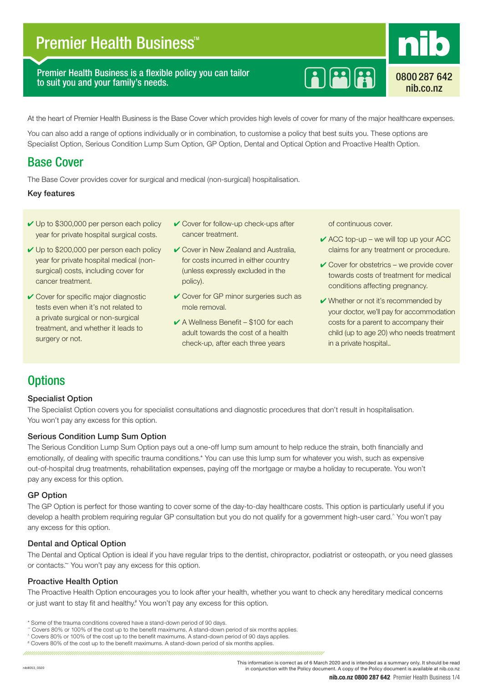# **Premier Health Business<sup>™</sup>**

Premier Health Business is a flexible policy you can tailor to suit you and your family's needs.



0800 287 642 nib.co.nz

At the heart of Premier Health Business is the Base Cover which provides high levels of cover for many of the major healthcare expenses.

You can also add a range of options individually or in combination, to customise a policy that best suits you. These options are Specialist Option, Serious Condition Lump Sum Option, GP Option, Dental and Optical Option and Proactive Health Option.

### Base Cover

The Base Cover provides cover for surgical and medical (non-surgical) hospitalisation.

#### Key features

- $\vee$  Up to \$300,000 per person each policy year for private hospital surgical costs.
- **✓** Up to \$200,000 per person each policy year for private hospital medical (nonsurgical) costs, including cover for cancer treatment.
- **✓ Cover for specific major diagnostic** tests even when it's not related to a private surgical or non-surgical treatment, and whether it leads to surgery or not.
- ✔ Cover for follow-up check-ups after cancer treatment.
- Gover in New Zealand and Australia, for costs incurred in either country (unless expressly excluded in the policy).
- **✓** Cover for GP minor surgeries such as mole removal.
- $\angle$  A Wellness Benefit \$100 for each adult towards the cost of a health check-up, after each three years

of continuous cover.

- $\angle$  ACC top-up we will top up your ACC claims for any treatment or procedure.
- $\vee$  Cover for obstetrics we provide cover towards costs of treatment for medical conditions affecting pregnancy.
- $\vee$  Whether or not it's recommended by your doctor, we'll pay for accommodation costs for a parent to accompany their child (up to age 20) who needs treatment in a private hospital..

### **Options**

### Specialist Option

The Specialist Option covers you for specialist consultations and diagnostic procedures that don't result in hospitalisation. You won't pay any excess for this option.

#### Serious Condition Lump Sum Option

The Serious Condition Lump Sum Option pays out a one-off lump sum amount to help reduce the strain, both financially and emotionally, of dealing with specific trauma conditions.\* You can use this lump sum for whatever you wish, such as expensive out-of-hospital drug treatments, rehabilitation expenses, paying off the mortgage or maybe a holiday to recuperate. You won't pay any excess for this option.

#### GP Option

The GP Option is perfect for those wanting to cover some of the day-to-day healthcare costs. This option is particularly useful if you develop a health problem requiring regular GP consultation but you do not qualify for a government high-user card.^ You won't pay any excess for this option.

### Dental and Optical Option

The Dental and Optical Option is ideal if you have regular trips to the dentist, chiropractor, podiatrist or osteopath, or you need glasses or contacts.~ You won't pay any excess for this option.

#### Proactive Health Option

The Proactive Health Option encourages you to look after your health, whether you want to check any hereditary medical concerns or just want to stay fit and healthy.<sup>#</sup> You won't pay any excess for this option.

<sup>\*</sup> Some of the trauma conditions covered have a stand-down period of 90 days.

<sup>~</sup> Covers 80% or 100% of the cost up to the benefit maximums. A stand-down period of six months applies.

<sup>^</sup> Covers 80% or 100% of the cost up to the benefit maximums. A stand-down period of 90 days applies.

<sup>#</sup> Covers 80% of the cost up to the benefit maximums. A stand-down period of six months applies.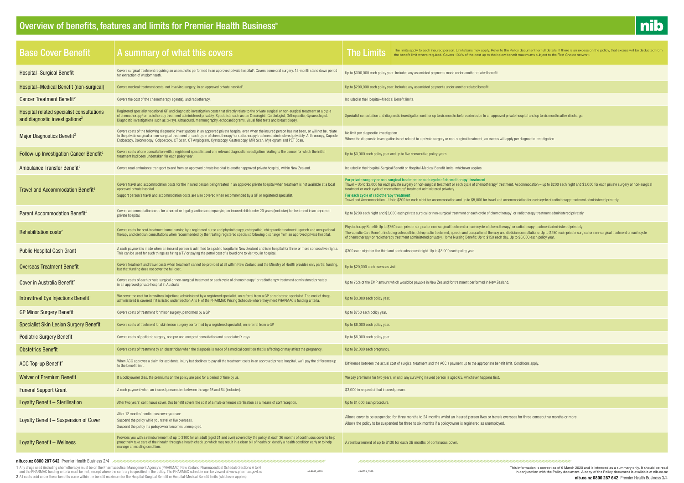1 Any drugs used (including chemotherapy) must be on the Pharmaceutical Management Agency's (PHARMAC) New Zealand Pharmaceutical Schedule Sections A to H<br>and the PHARMAC funding criteria must be met, except where the contr 2 All costs paid under these benefits come within the benefit maximum for the Hospital-Surgical Benefit or Hospital-Medical Benefit limits (whichever applies).



| <b>Base Cover Benefit</b>                                                               | A summary of what this covers                                                                                                                                                                                                                                                                                                                                                                                                                             | The limits apply to each insured person. Limitations may apply. Refer to the Policy document for full details. If there is an excess on the policy, that excess will be deducted from<br>The Limits<br>the benefit limit where required. Covers 100% of the cost up to the below benefit maximums subject to the First Choice network.                                                                                                                                                                                                                                                                                                                 |
|-----------------------------------------------------------------------------------------|-----------------------------------------------------------------------------------------------------------------------------------------------------------------------------------------------------------------------------------------------------------------------------------------------------------------------------------------------------------------------------------------------------------------------------------------------------------|--------------------------------------------------------------------------------------------------------------------------------------------------------------------------------------------------------------------------------------------------------------------------------------------------------------------------------------------------------------------------------------------------------------------------------------------------------------------------------------------------------------------------------------------------------------------------------------------------------------------------------------------------------|
| <b>Hospital-Surgical Benefit</b>                                                        | Covers surgical treatment requiring an anaesthetic performed in an approved private hospital <sup>1</sup> . Covers some oral surgery. 12-month stand down period<br>for extraction of wisdom teeth.                                                                                                                                                                                                                                                       | Up to \$300,000 each policy year. Includes any associated payments made under another related benefit.                                                                                                                                                                                                                                                                                                                                                                                                                                                                                                                                                 |
| Hospital-Medical Benefit (non-surgical)                                                 | Covers medical treatment costs, not involving surgery, in an approved private hospital <sup>1</sup> .                                                                                                                                                                                                                                                                                                                                                     | Up to \$200,000 each policy year. Includes any associated payments under another related benefit                                                                                                                                                                                                                                                                                                                                                                                                                                                                                                                                                       |
| Cancer Treatment Benefit <sup>2</sup>                                                   | Covers the cost of the chemotherapy agent(s), and radiotherapy.                                                                                                                                                                                                                                                                                                                                                                                           | Included in the Hospital-Medical Benefit limits.                                                                                                                                                                                                                                                                                                                                                                                                                                                                                                                                                                                                       |
| Hospital related specialist consultations<br>and diagnostic investigations <sup>2</sup> | Registered specialist vocational GP and diagnostic investigation costs that directly relate to the private surgical or non-surgical treatment or a cycle<br>of chemotherapy <sup>1</sup> or radiotherapy treatment administered privately. Specialists such as: an Oncologist, Cardiologist, Orthopaedic, Gynaecologist.<br>Diagnostic investigations such as: x-rays, ultrasound, mammography, echocardiograms, visual field tests and breast biopsy.    | Specialist consultation and diagnostic investigation cost for up to six months before admission to an approved private hospital and up to six months after discharge.                                                                                                                                                                                                                                                                                                                                                                                                                                                                                  |
| Major Diagnostics Benefit <sup>2</sup>                                                  | Covers costs of the following diagnostic investigations in an approved private hospital even when the insured person has not been, or will not be, relate<br>to the private surgical or non-surgical treatment or each cycle of chemotherapy <sup>1</sup> or radiotherapy treatment administered privately. Arthroscopy, Capsule<br>Endoscopy, Colonoscopy, Colposcopy, CT Scan, CT Angiogram, Cystoscopy, Gastroscopy, MRI Scan, Myelogram and PET Scan. | No limit per diagnostic investigation.<br>Where the diagnostic investigation is not related to a private surgery or non-surgical treatment, an excess will apply per diagnostic investigation.                                                                                                                                                                                                                                                                                                                                                                                                                                                         |
| Follow-up Investigation Cancer Benefit <sup>2</sup>                                     | Covers costs of one consultation with a registered specialist and one relevant diagnostic investigation relating to the cancer for which the initial<br>treatment had been undertaken for each policy year.                                                                                                                                                                                                                                               | Up to \$3,000 each policy year and up to five consecutive policy years.                                                                                                                                                                                                                                                                                                                                                                                                                                                                                                                                                                                |
| Ambulance Transfer Benefit <sup>2</sup>                                                 | Covers road ambulance transport to and from an approved private hospital to another approved private hospital, within New Zealand.                                                                                                                                                                                                                                                                                                                        | Included in the Hospital-Surgical Benefit or Hospital-Medical Benefit limits, whichever applies.                                                                                                                                                                                                                                                                                                                                                                                                                                                                                                                                                       |
| Travel and Accommodation Benefit <sup>2</sup>                                           | Covers travel and accommodation costs for the insured person being treated in an approved private hospital when treatment is not available at a local<br>approved private hospital.<br>Support person's travel and accommodation costs are also covered when recommended by a GP or registered specialist.                                                                                                                                                | For private surgery or non-surgical treatment or each cycle of chemotherapy <sup>1</sup> treatment<br>Travel - Up to \$2,000 for each private surgery or non-surgical treatment or each cycle of chemotherapy' treatment. Accommodation - up to \$200 each night and \$3,000 for each private surgery or non-surgical<br>treatment or each cycle of chemotherapy <sup>1</sup> treatment administered privately.<br>For each cycle of radiotherapy treatment<br>Travel and Accommodation - Up to \$200 for each night for accommodation and up to \$5,000 for travel and accommodation for each cycle of radiotherapy treatment administered privately. |
| Parent Accommodation Benefit <sup>2</sup>                                               | Covers accommodation costs for a parent or legal guardian accompanying an insured child under 20 years (inclusive) for treatment in an approved<br>private hospital.                                                                                                                                                                                                                                                                                      | Up to \$200 each night and \$3,000 each private surgical or non-surgical treatment or each cycle of chemotherapy <sup>1</sup> or radiotherapy treatment administered privately.                                                                                                                                                                                                                                                                                                                                                                                                                                                                        |
| Rehabilitation costs <sup>2</sup>                                                       | Covers costs for post-treatment home nursing by a registered nurse and physiotherapy, osteopathic, chiropractic treatment, speech and occupational<br>therapy and dietician consultations when recommended by the treating registered specialist following discharge from an approved private hospital.                                                                                                                                                   | Physiotherapy Benefit: Up to \$750 each private surgical or non-surgical treatment or each cycle of chemotherapy <sup>1</sup> or radiotherapy treatment administered privately.<br>Therapeutic Care Benefit: Including osteopathic, chiropractic treatment, speech and occupational therapy and dietician consultations: Up to \$250 each private surgical or non-surgical treatment or each cycle<br>of chemotherapy <sup>1</sup> or radiotherapy treatment administered privately. Home Nursing Benefit: Up to \$150 each day. Up to \$6,000 each policy year.                                                                                       |
| <b>Public Hospital Cash Grant</b>                                                       | A cash payment is made when an insured person is admitted to a public hospital in New Zealand and is in hospital for three or more consecutive nights.<br>This can be used for such things as hiring a TV or paying the petrol cost of a loved one to visit you in hospital.                                                                                                                                                                              | \$300 each night for the third and each subsequent night. Up to \$3,000 each policy year.                                                                                                                                                                                                                                                                                                                                                                                                                                                                                                                                                              |
| <b>Overseas Treatment Benefit</b>                                                       | Covers treatment and travel costs when treatment cannot be provided at all within New Zealand and the Ministry of Health provides only partial funding,<br>but that funding does not cover the full cost.                                                                                                                                                                                                                                                 | Up to \$20,000 each overseas visit.                                                                                                                                                                                                                                                                                                                                                                                                                                                                                                                                                                                                                    |
| Cover in Australia Benefit <sup>2</sup>                                                 | Covers costs of each private surgical or non-surgical treatment or each cycle of chemotherapy <sup>1</sup> or radiotherapy treatment administered privately<br>in an approved private hospital in Australia.                                                                                                                                                                                                                                              | Up to 75% of the EMP amount which would be payable in New Zealand for treatment performed in New Zealand.                                                                                                                                                                                                                                                                                                                                                                                                                                                                                                                                              |
| Intravitreal Eye Injections Benefit <sup>1</sup>                                        | We cover the cost for intravitreal injections administered by a registered specialist, on referral from a GP or registered specialist. The cost of drugs<br>administered is covered if it is listed under Section A to H of the PHARMAC Pricing Schedule where they meet PHARMAC's funding criteria.                                                                                                                                                      | Up to \$3,000 each policy year                                                                                                                                                                                                                                                                                                                                                                                                                                                                                                                                                                                                                         |
| <b>GP Minor Surgery Benefit</b>                                                         | Covers costs of treatment for minor surgery, performed by a GP.                                                                                                                                                                                                                                                                                                                                                                                           | Up to \$750 each policy year.                                                                                                                                                                                                                                                                                                                                                                                                                                                                                                                                                                                                                          |
| <b>Specialist Skin Lesion Surgery Benefit</b>                                           | Covers costs of treatment for skin lesion surgery performed by a registered specialist, on referral from a GP.                                                                                                                                                                                                                                                                                                                                            | Up to \$6,000 each policy year.                                                                                                                                                                                                                                                                                                                                                                                                                                                                                                                                                                                                                        |
| <b>Podiatric Surgery Benefit</b>                                                        | Covers costs of podiatric surgery, one pre and one post consultation and associated X-rays.                                                                                                                                                                                                                                                                                                                                                               | Up to \$6,000 each policy year.                                                                                                                                                                                                                                                                                                                                                                                                                                                                                                                                                                                                                        |
| <b>Obstetrics Benefit</b>                                                               | Covers costs of treatment by an obstetrician when the diagnosis is made of a medical condition that is affecting or may affect the pregnancy.                                                                                                                                                                                                                                                                                                             | Up to \$2,000 each pregnancy.                                                                                                                                                                                                                                                                                                                                                                                                                                                                                                                                                                                                                          |
| ACC Top-up Benefit <sup>2</sup>                                                         | When ACC approves a claim for accidental injury but declines to pay all the treatment costs in an approved private hospital, we'll pay the difference up<br>to the benefit limit.                                                                                                                                                                                                                                                                         | Difference between the actual cost of surgical treatment and the ACC's payment up to the appropriate benefit limit. Conditions apply.                                                                                                                                                                                                                                                                                                                                                                                                                                                                                                                  |
| <b>Waiver of Premium Benefit</b>                                                        | If a policyowner dies, the premiums on the policy are paid for a period of time by us.                                                                                                                                                                                                                                                                                                                                                                    | We pay premiums for two years, or until any surviving insured person is aged 65, whichever happens first.                                                                                                                                                                                                                                                                                                                                                                                                                                                                                                                                              |
| <b>Funeral Support Grant</b>                                                            | A cash payment when an insured person dies between the age 16 and 64 (inclusive).                                                                                                                                                                                                                                                                                                                                                                         | \$3,000 in respect of that insured person.                                                                                                                                                                                                                                                                                                                                                                                                                                                                                                                                                                                                             |
| Loyalty Benefit - Sterilisation                                                         | After two years' continuous cover, this benefit covers the cost of a male or female sterilisation as a means of contraception.                                                                                                                                                                                                                                                                                                                            | Up to \$1,000 each procedure.                                                                                                                                                                                                                                                                                                                                                                                                                                                                                                                                                                                                                          |
| Loyalty Benefit - Suspension of Cover                                                   | After 12 months' continuous cover you can:<br>Suspend the policy while you travel or live overseas.<br>Suspend the policy if a policyowner becomes unemployed.                                                                                                                                                                                                                                                                                            | Allows cover to be suspended for three months to 24 months whilst an insured person lives or travels overseas for three consecutive months or more.<br>Allows the policy to be suspended for three to six months if a policyowner is registered as unemployed.                                                                                                                                                                                                                                                                                                                                                                                         |
| <b>Loyalty Benefit - Wellness</b>                                                       | Provides you with a reimbursement of up to \$100 for an adult (aged 21 and over) covered by the policy at each 36 months of continuous cover to help<br>proactively take care of their health through a health check up which may result in a clean bill of health or identify a health condition early or to help<br>manage an existing condition.                                                                                                       | A reimbursement of up to \$100 for each 36 months of continuous cover.                                                                                                                                                                                                                                                                                                                                                                                                                                                                                                                                                                                 |
| nib.co.nz 0800 287 642 Premier Health Business 2/4                                      | 1 Any drugs used (including chemotherapy) must be on the Pharmaceutical Management Agency's (PHARMAC) New Zealand Pharmaceutical Schedule Sections A to H                                                                                                                                                                                                                                                                                                 | This information is correct as of 6 March 2020 and is intended as a summary only It should be re                                                                                                                                                                                                                                                                                                                                                                                                                                                                                                                                                       |

**nib.co.nz 0800 287 642** Premier Health Business 3/4 This information is correct as of 6 March 2020 and is intended as a summary only. It should be read intended as a summary only. It should be read intended as a summary only. It should be read intended as a summary only. It